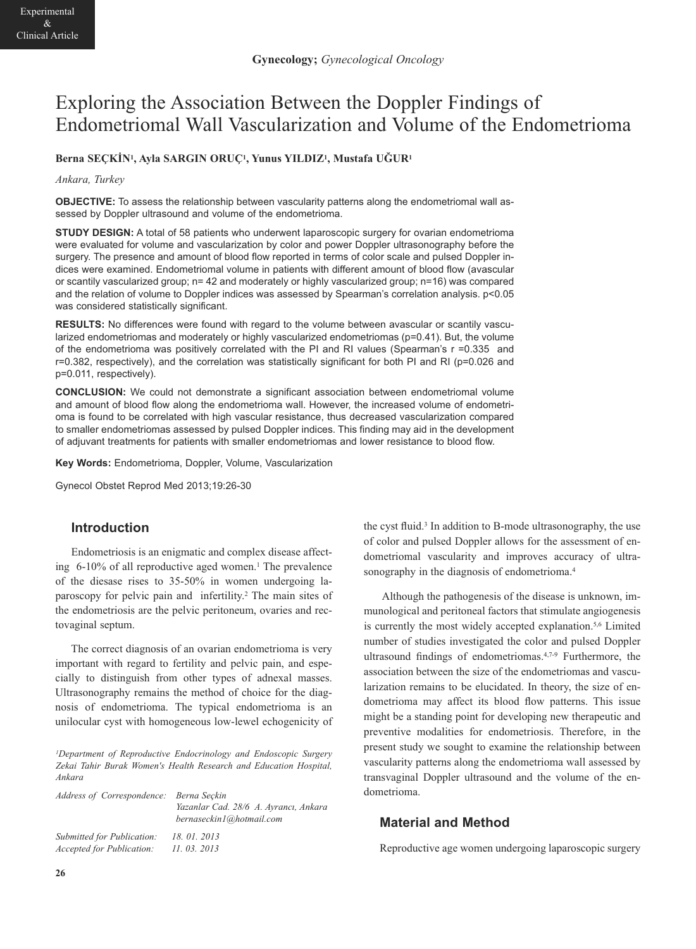# Exploring the Association Between the Doppler Findings of Endometriomal Wall Vascularization and Volume of the Endometrioma

#### **Berna SEÇKİN1, Ayla SARGIN ORUÇ1, Yunus YILDIZ1, Mustafa UĞUR1**

#### *Ankara, Turkey*

**OBJECTIVE:** To assess the relationship between vascularity patterns along the endometriomal wall assessed by Doppler ultrasound and volume of the endometrioma.

**STUDY DESIGN:** A total of 58 patients who underwent laparoscopic surgery for ovarian endometrioma were evaluated for volume and vascularization by color and power Doppler ultrasonography before the surgery. The presence and amount of blood flow reported in terms of color scale and pulsed Doppler indices were examined. Endometriomal volume in patients with different amount of blood flow (avascular or scantily vascularized group; n= 42 and moderately or highly vascularized group; n=16) was compared and the relation of volume to Doppler indices was assessed by Spearman's correlation analysis. p<0.05 was considered statistically significant.

**RESULTS:** No differences were found with regard to the volume between avascular or scantily vascularized endometriomas and moderately or highly vascularized endometriomas (p=0.41). But, the volume of the endometrioma was positively correlated with the PI and RI values (Spearman's r =0.335 and r=0.382, respectively), and the correlation was statistically significant for both PI and RI (p=0.026 and p=0.011, respectively).

**CONCLUSION:** We could not demonstrate a significant association between endometriomal volume and amount of blood flow along the endometrioma wall. However, the increased volume of endometrioma is found to be correlated with high vascular resistance, thus decreased vascularization compared to smaller endometriomas assessed by pulsed Doppler indices. This finding may aid in the development of adjuvant treatments for patients with smaller endometriomas and lower resistance to blood flow.

**Key Words:** Endometrioma, Doppler, Volume, Vascularization

Gynecol Obstet Reprod Med 2013;19:26-30

## **Introduction**

Endometriosis is an enigmatic and complex disease affecting 6-10% of all reproductive aged women.<sup>1</sup> The prevalence of the diesase rises to 35-50% in women undergoing laparoscopy for pelvic pain and infertility.2 The main sites of the endometriosis are the pelvic peritoneum, ovaries and rectovaginal septum.

The correct diagnosis of an ovarian endometrioma is very important with regard to fertility and pelvic pain, and especially to distinguish from other types of adnexal masses. Ultrasonography remains the method of choice for the diagnosis of endometrioma. The typical endometrioma is an unilocular cyst with homogeneous low-lewel echogenicity of

*1Department of Reproductive Endocrinology and Endoscopic Surgery Zekai Tahir Burak Women's Health Research and Education Hospital, Ankara* 

| Address of Correspondence: Berna Seckin                        |                                                                   |
|----------------------------------------------------------------|-------------------------------------------------------------------|
|                                                                | Yazanlar Cad. 28/6 A. Ayrancı, Ankara<br>bernaseckin1@hotmail.com |
| Submitted for Publication:<br><i>Accepted for Publication:</i> | 18.01.2013<br>11.03.2013                                          |

the cyst fluid.3 In addition to B-mode ultrasonography, the use of color and pulsed Doppler allows for the assessment of endometriomal vascularity and improves accuracy of ultrasonography in the diagnosis of endometrioma.<sup>4</sup>

Although the pathogenesis of the disease is unknown, immunological and peritoneal factors that stimulate angiogenesis is currently the most widely accepted explanation.<sup>5,6</sup> Limited number of studies investigated the color and pulsed Doppler ultrasound findings of endometriomas.4,7-9 Furthermore, the association between the size of the endometriomas and vascularization remains to be elucidated. In theory, the size of endometrioma may affect its blood flow patterns. This issue might be a standing point for developing new therapeutic and preventive modalities for endometriosis. Therefore, in the present study we sought to examine the relationship between vascularity patterns along the endometrioma wall assessed by transvaginal Doppler ultrasound and the volume of the endometrioma.

## **Material and Method**

Reproductive age women undergoing laparoscopic surgery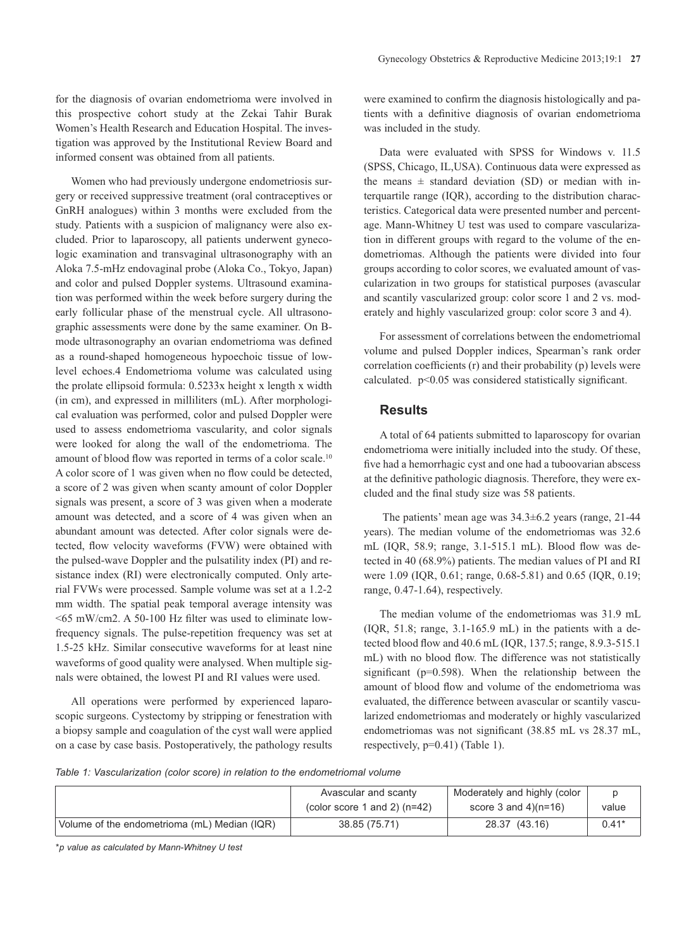for the diagnosis of ovarian endometrioma were involved in this prospective cohort study at the Zekai Tahir Burak Women's Health Research and Education Hospital. The investigation was approved by the Institutional Review Board and informed consent was obtained from all patients.

Women who had previously undergone endometriosis surgery or received suppressive treatment (oral contraceptives or GnRH analogues) within 3 months were excluded from the study. Patients with a suspicion of malignancy were also excluded. Prior to laparoscopy, all patients underwent gynecologic examination and transvaginal ultrasonography with an Aloka 7.5-mHz endovaginal probe (Aloka Co., Tokyo, Japan) and color and pulsed Doppler systems. Ultrasound examination was performed within the week before surgery during the early follicular phase of the menstrual cycle. All ultrasonographic assessments were done by the same examiner. On Bmode ultrasonography an ovarian endometrioma was defined as a round-shaped homogeneous hypoechoic tissue of lowlevel echoes.4 Endometrioma volume was calculated using the prolate ellipsoid formula: 0.5233x height x length x width (in cm), and expressed in milliliters (mL). After morphological evaluation was performed, color and pulsed Doppler were used to assess endometrioma vascularity, and color signals were looked for along the wall of the endometrioma. The amount of blood flow was reported in terms of a color scale.10 A color score of 1 was given when no flow could be detected, a score of 2 was given when scanty amount of color Doppler signals was present, a score of 3 was given when a moderate amount was detected, and a score of 4 was given when an abundant amount was detected. After color signals were detected, flow velocity waveforms (FVW) were obtained with the pulsed-wave Doppler and the pulsatility index (PI) and resistance index (RI) were electronically computed. Only arterial FVWs were processed. Sample volume was set at a 1.2-2 mm width. The spatial peak temporal average intensity was <65 mW/cm2. A 50-100 Hz filter was used to eliminate lowfrequency signals. The pulse-repetition frequency was set at 1.5-25 kHz. Similar consecutive waveforms for at least nine waveforms of good quality were analysed. When multiple signals were obtained, the lowest PI and RI values were used.

All operations were performed by experienced laparoscopic surgeons. Cystectomy by stripping or fenestration with a biopsy sample and coagulation of the cyst wall were applied on a case by case basis. Postoperatively, the pathology results were examined to confirm the diagnosis histologically and patients with a definitive diagnosis of ovarian endometrioma was included in the study.

Data were evaluated with SPSS for Windows v. 11.5 (SPSS, Chicago, IL,USA). Continuous data were expressed as the means  $\pm$  standard deviation (SD) or median with interquartile range (IQR), according to the distribution characteristics. Categorical data were presented number and percentage. Mann-Whitney U test was used to compare vascularization in different groups with regard to the volume of the endometriomas. Although the patients were divided into four groups according to color scores, we evaluated amount of vascularization in two groups for statistical purposes (avascular and scantily vascularized group: color score 1 and 2 vs. moderately and highly vascularized group: color score 3 and 4).

For assessment of correlations between the endometriomal volume and pulsed Doppler indices, Spearman's rank order correlation coefficients (r) and their probability (p) levels were calculated. p<0.05 was considered statistically significant.

#### **Results**

A total of 64 patients submitted to laparoscopy for ovarian endometrioma were initially included into the study. Of these, five had a hemorrhagic cyst and one had a tuboovarian abscess at the definitive pathologic diagnosis. Therefore, they were excluded and the final study size was 58 patients.

The patients' mean age was 34.3±6.2 years (range, 21-44 years). The median volume of the endometriomas was 32.6 mL (IQR, 58.9; range, 3.1-515.1 mL). Blood flow was detected in 40 (68.9%) patients. The median values of PI and RI were 1.09 (IQR, 0.61; range, 0.68-5.81) and 0.65 (IQR, 0.19; range, 0.47-1.64), respectively.

The median volume of the endometriomas was 31.9 mL  $(IOR, 51.8; range, 3.1-165.9)$  in the patients with a detected blood flow and 40.6 mL (IQR, 137.5; range, 8.9.3-515.1 mL) with no blood flow. The difference was not statistically significant ( $p=0.598$ ). When the relationship between the amount of blood flow and volume of the endometrioma was evaluated, the difference between avascular or scantily vascularized endometriomas and moderately or highly vascularized endometriomas was not significant (38.85 mL vs 28.37 mL, respectively, p=0.41) (Table 1).

*Table 1: Vascularization (color score) in relation to the endometriomal volume* 

|                                              | Avascular and scanty           | Moderately and highly (color |         |
|----------------------------------------------|--------------------------------|------------------------------|---------|
|                                              | (color score 1 and 2) $(n=42)$ | score 3 and $4)(n=16)$       | value   |
| Volume of the endometrioma (mL) Median (IQR) | 38.85 (75.71)                  | 28.37 (43.16)                | $0.41*$ |

*\*p value as calculated by Mann-Whitney U test*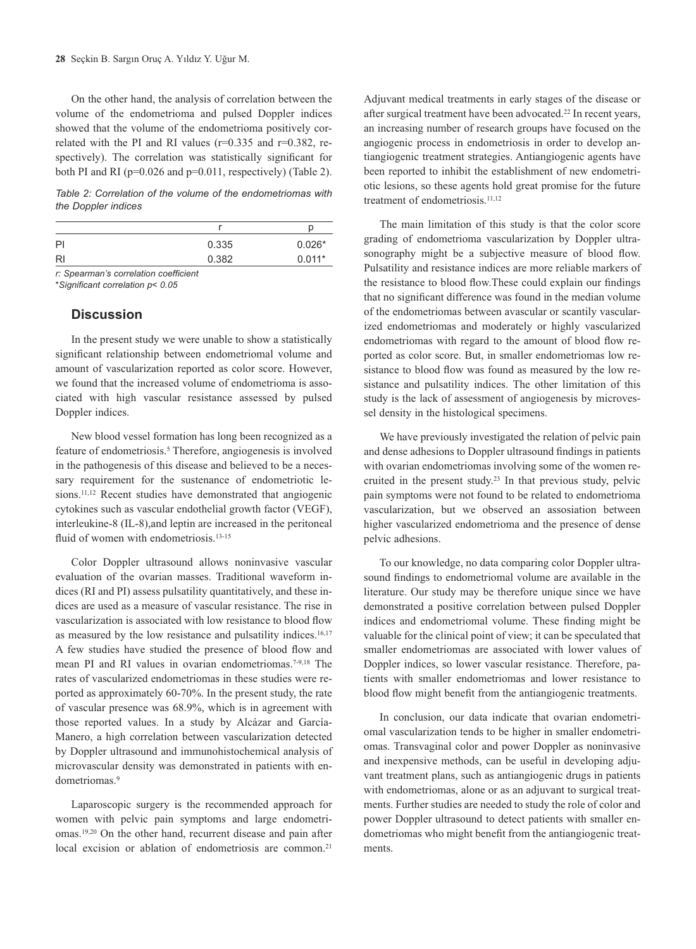On the other hand, the analysis of correlation between the volume of the endometrioma and pulsed Doppler indices showed that the volume of the endometrioma positively correlated with the PI and RI values ( $r=0.335$  and  $r=0.382$ , respectively). The correlation was statistically significant for both PI and RI ( $p=0.026$  and  $p=0.011$ , respectively) (Table 2).

*Table 2: Correlation of the volume of the endometriomas with the Doppler indices* 

| 0.335 | $0.026*$ |
|-------|----------|
| 0.382 | $0.011*$ |
|       |          |

*r: Spearman's correlation coefficient*

#### *\*Significant correlation p< 0.05*

#### **Discussion**

In the present study we were unable to show a statistically significant relationship between endometriomal volume and amount of vascularization reported as color score. However, we found that the increased volume of endometrioma is associated with high vascular resistance assessed by pulsed Doppler indices.

New blood vessel formation has long been recognized as a feature of endometriosis.<sup>5</sup> Therefore, angiogenesis is involved in the pathogenesis of this disease and believed to be a necessary requirement for the sustenance of endometriotic lesions.<sup>11,12</sup> Recent studies have demonstrated that angiogenic cytokines such as vascular endothelial growth factor (VEGF), interleukine-8 (IL-8),and leptin are increased in the peritoneal fluid of women with endometriosis.<sup>13-15</sup>

Color Doppler ultrasound allows noninvasive vascular evaluation of the ovarian masses. Traditional waveform indices (RI and PI) assess pulsatility quantitatively, and these indices are used as a measure of vascular resistance. The rise in vascularization is associated with low resistance to blood flow as measured by the low resistance and pulsatility indices.<sup>16,17</sup> A few studies have studied the presence of blood flow and mean PI and RI values in ovarian endometriomas.7-9,18 The rates of vascularized endometriomas in these studies were reported as approximately 60-70%. In the present study, the rate of vascular presence was 68.9%, which is in agreement with those reported values. In a study by Alcázar and García-Manero, a high correlation between vascularization detected by Doppler ultrasound and immunohistochemical analysis of microvascular density was demonstrated in patients with endometriomas.<sup>9</sup>

Laparoscopic surgery is the recommended approach for women with pelvic pain symptoms and large endometriomas.19,20 On the other hand, recurrent disease and pain after local excision or ablation of endometriosis are common.<sup>21</sup>

Adjuvant medical treatments in early stages of the disease or after surgical treatment have been advocated.22 In recent years, an increasing number of research groups have focused on the angiogenic process in endometriosis in order to develop antiangiogenic treatment strategies. Antiangiogenic agents have been reported to inhibit the establishment of new endometriotic lesions, so these agents hold great promise for the future treatment of endometriosis.<sup>11,12</sup>

The main limitation of this study is that the color score grading of endometrioma vascularization by Doppler ultrasonography might be a subjective measure of blood flow. Pulsatility and resistance indices are more reliable markers of the resistance to blood flow.These could explain our findings that no significant difference was found in the median volume of the endometriomas between avascular or scantily vascularized endometriomas and moderately or highly vascularized endometriomas with regard to the amount of blood flow reported as color score. But, in smaller endometriomas low resistance to blood flow was found as measured by the low resistance and pulsatility indices. The other limitation of this study is the lack of assessment of angiogenesis by microvessel density in the histological specimens.

We have previously investigated the relation of pelvic pain and dense adhesions to Doppler ultrasound findings in patients with ovarian endometriomas involving some of the women recruited in the present study.<sup>23</sup> In that previous study, pelvic pain symptoms were not found to be related to endometrioma vascularization, but we observed an assosiation between higher vascularized endometrioma and the presence of dense pelvic adhesions.

To our knowledge, no data comparing color Doppler ultrasound findings to endometriomal volume are available in the literature. Our study may be therefore unique since we have demonstrated a positive correlation between pulsed Doppler indices and endometriomal volume. These finding might be valuable for the clinical point of view; it can be speculated that smaller endometriomas are associated with lower values of Doppler indices, so lower vascular resistance. Therefore, patients with smaller endometriomas and lower resistance to blood flow might benefit from the antiangiogenic treatments.

In conclusion, our data indicate that ovarian endometriomal vascularization tends to be higher in smaller endometriomas. Transvaginal color and power Doppler as noninvasive and inexpensive methods, can be useful in developing adjuvant treatment plans, such as antiangiogenic drugs in patients with endometriomas, alone or as an adjuvant to surgical treatments. Further studies are needed to study the role of color and power Doppler ultrasound to detect patients with smaller endometriomas who might benefit from the antiangiogenic treatments.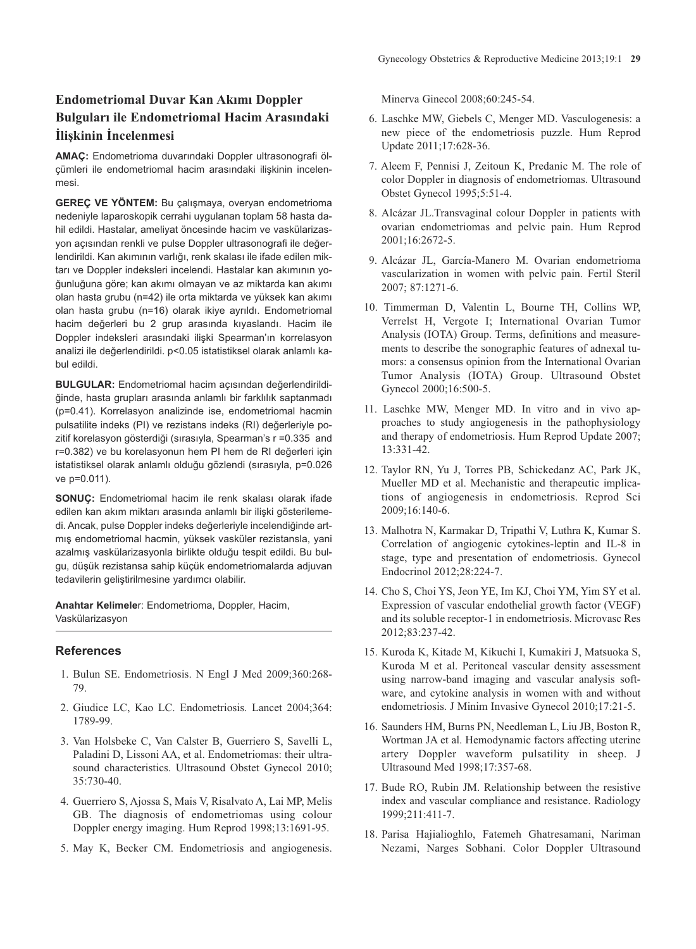# **Endometriomal Duvar Kan Akımı Doppler Bulguları ile Endometriomal Hacim Arasındaki İlişkinin İncelenmesi**

**AMAÇ:** Endometrioma duvarındaki Doppler ultrasonografi ölçümleri ile endometriomal hacim arasındaki ilişkinin incelenmesi.

**GEREÇ VE YÖNTEM:** Bu çalışmaya, overyan endometrioma nedeniyle laparoskopik cerrahi uygulanan toplam 58 hasta dahil edildi. Hastalar, ameliyat öncesinde hacim ve vaskülarizasyon açısından renkli ve pulse Doppler ultrasonografi ile değerlendirildi. Kan akımının varlığı, renk skalası ile ifade edilen miktarı ve Doppler indeksleri incelendi. Hastalar kan akımının yoğunluğuna göre; kan akımı olmayan ve az miktarda kan akımı olan hasta grubu (n=42) ile orta miktarda ve yüksek kan akımı olan hasta grubu (n=16) olarak ikiye ayrıldı. Endometriomal hacim değerleri bu 2 grup arasında kıyaslandı. Hacim ile Doppler indeksleri arasındaki ilişki Spearman'ın korrelasyon analizi ile değerlendirildi. p<0.05 istatistiksel olarak anlamlı kabul edildi.

**BULGULAR:** Endometriomal hacim açısından değerlendirildiğinde, hasta grupları arasında anlamlı bir farklılık saptanmadı (p=0.41). Korrelasyon analizinde ise, endometriomal hacmin pulsatilite indeks (PI) ve rezistans indeks (RI) değerleriyle pozitif korelasyon gösterdiği (sırasıyla, Spearman's r =0.335 and r=0.382) ve bu korelasyonun hem PI hem de RI değerleri için istatistiksel olarak anlamlı olduğu gözlendi (sırasıyla, p=0.026 ve p=0.011).

**SONUÇ:** Endometriomal hacim ile renk skalası olarak ifade edilen kan akım miktarı arasında anlamlı bir ilişki gösterilemedi. Ancak, pulse Doppler indeks değerleriyle incelendiğinde artmış endometriomal hacmin, yüksek vasküler rezistansla, yani azalmış vaskülarizasyonla birlikte olduğu tespit edildi. Bu bulgu, düşük rezistansa sahip küçük endometriomalarda adjuvan tedavilerin geliştirilmesine yardımcı olabilir.

**Anahtar Kelimele**r: Endometrioma, Doppler, Hacim, Vaskülarizasyon

#### **References**

- 1. Bulun SE. Endometriosis. N Engl J Med 2009;360:268- 79.
- 2. Giudice LC, Kao LC. Endometriosis. Lancet 2004;364: 1789-99.
- 3. Van Holsbeke C, Van Calster B, Guerriero S, Savelli L, Paladini D, Lissoni AA, et al. Endometriomas: their ultrasound characteristics. Ultrasound Obstet Gynecol 2010; 35:730-40.
- 4. Guerriero S, Ajossa S, Mais V, Risalvato A, Lai MP, Melis GB. The diagnosis of endometriomas using colour Doppler energy imaging. Hum Reprod 1998;13:1691-95.
- 5. May K, Becker CM. Endometriosis and angiogenesis.

Minerva Ginecol 2008;60:245-54.

- 6. Laschke MW, Giebels C, Menger MD. Vasculogenesis: a new piece of the endometriosis puzzle. Hum Reprod Update 2011;17:628-36.
- 7. Aleem F, Pennisi J, Zeitoun K, Predanic M. The role of color Doppler in diagnosis of endometriomas. Ultrasound Obstet Gynecol 1995;5:51-4.
- 8. Alcázar JL.Transvaginal colour Doppler in patients with ovarian endometriomas and pelvic pain. Hum Reprod 2001;16:2672-5.
- 9. Alcázar JL, García-Manero M. Ovarian endometrioma vascularization in women with pelvic pain. Fertil Steril 2007; 87:1271-6.
- 10. Timmerman D, Valentin L, Bourne TH, Collins WP, Verrelst H, Vergote I; International Ovarian Tumor Analysis (IOTA) Group. Terms, definitions and measurements to describe the sonographic features of adnexal tumors: a consensus opinion from the International Ovarian Tumor Analysis (IOTA) Group. Ultrasound Obstet Gynecol 2000;16:500-5.
- 11. Laschke MW, Menger MD. In vitro and in vivo approaches to study angiogenesis in the pathophysiology and therapy of endometriosis. Hum Reprod Update 2007; 13:331-42.
- 12. Taylor RN, Yu J, Torres PB, Schickedanz AC, Park JK, Mueller MD et al. Mechanistic and therapeutic implications of angiogenesis in endometriosis. Reprod Sci 2009;16:140-6.
- 13. Malhotra N, Karmakar D, Tripathi V, Luthra K, Kumar S. Correlation of angiogenic cytokines-leptin and IL-8 in stage, type and presentation of endometriosis. Gynecol Endocrinol 2012;28:224-7.
- 14. Cho S, Choi YS, Jeon YE, Im KJ, Choi YM, Yim SY et al. Expression of vascular endothelial growth factor (VEGF) and its soluble receptor-1 in endometriosis. Microvasc Res 2012;83:237-42.
- 15. Kuroda K, Kitade M, Kikuchi I, Kumakiri J, Matsuoka S, Kuroda M et al. Peritoneal vascular density assessment using narrow-band imaging and vascular analysis software, and cytokine analysis in women with and without endometriosis. J Minim Invasive Gynecol 2010;17:21-5.
- 16. Saunders HM, Burns PN, Needleman L, Liu JB, Boston R, Wortman JA et al. Hemodynamic factors affecting uterine artery Doppler waveform pulsatility in sheep. J Ultrasound Med 1998;17:357-68.
- 17. Bude RO, Rubin JM. Relationship between the resistive index and vascular compliance and resistance. Radiology 1999;211:411-7.
- 18. Parisa Hajialioghlo, Fatemeh Ghatresamani, Nariman Nezami, Narges Sobhani. Color Doppler Ultrasound